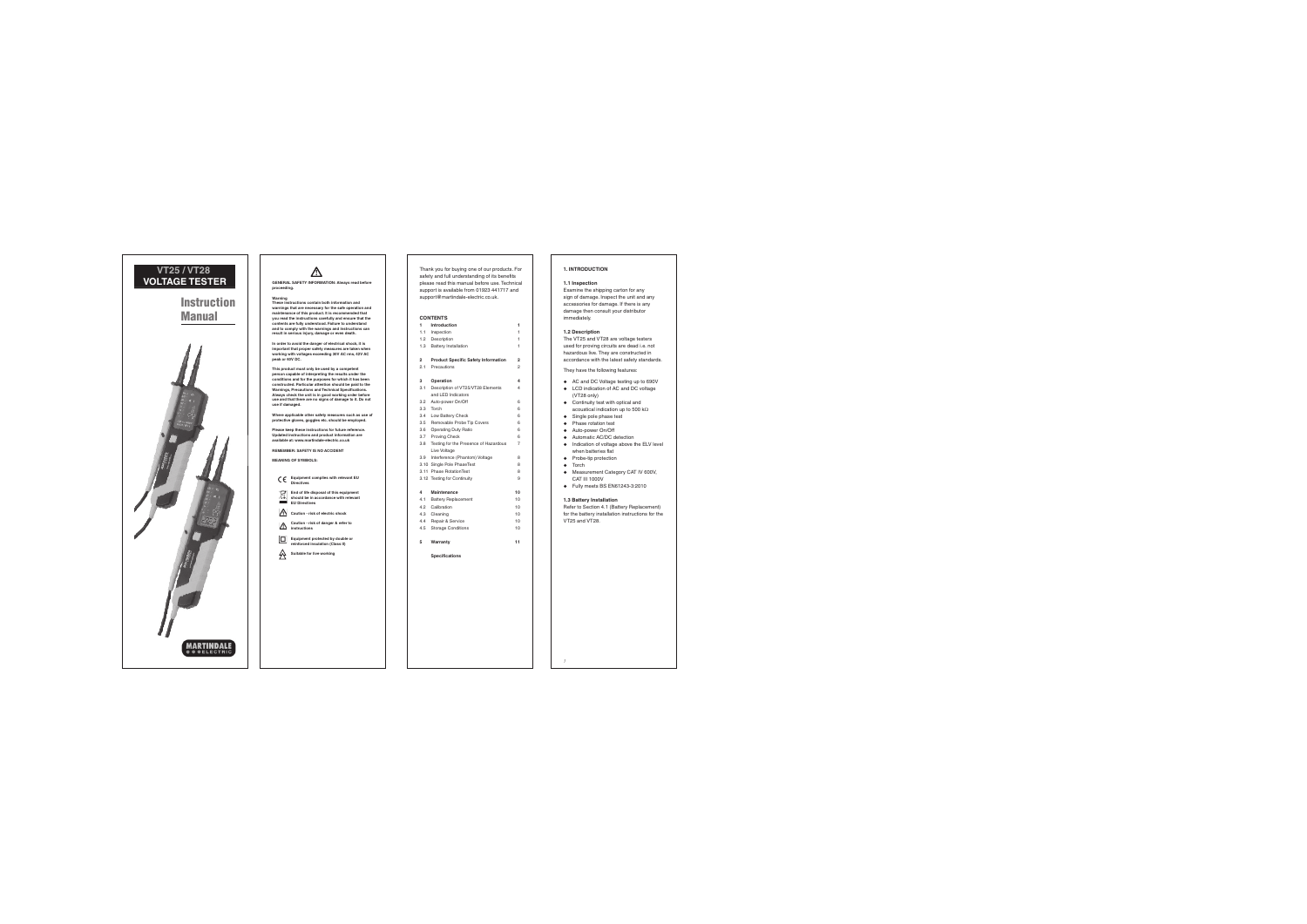# **VT25 / VT28VOLTAGE TESTER**

# **InstructionManual**



**GENERAL SAFETY INFORMATION: Always read before proceeding.**

### **Warning**

 **These instructions contain both information and warnings that are necessary for the safe operation and maintenance of this product. It is recommended that you read the instructions carefully and ensure that the contents are fully understood. Failure to understand and to comply with the warnings and instructions can result in serious injury, damage or even death.**

**In order to avoid the danger of electrical shock, it is important that proper safety measures are taken when working with voltages exceeding 30V AC rms, 42V AC peak or 60V DC.**

**This product must only be used by a competent person capable of interpreting the results under the conditions and for the purposes for which it has been constructed. Particular attention should be paid to the Warnings, Precautions and Technical Specifications. Always check the unit is in good working order before use and that there are no signs of damage to it. Do not use if damaged.**

**Where applicable other safety measures such as use of protective gloves, goggles etc. should be employed.**

**Please keep these instructions for future reference. Updated instructions and product information are available at: www.martindale-electric.co.uk**

**REMEMBER: SAFETY IS NO ACCIDENT**

**MEANING OF SYMBOLS:** 

 **Equipment complies with relevant EU Directives**

 **End of life disposal of this equipment should be in accordance with relevantEU Directives** 

**Caution - risk of electric shock**

 **Caution - risk of danger & refer to**  ∧ **instructions**

 **Equipment protected by double or**  回 **reinforced insulation (Class II)**

**Suitable for live working**

Thank you for buying one of our products. For safety and full understanding of its benefits please read this manual before use. Technical support is available from 01923 441717 and support@martindale-electric.co.uk.

### **CONTENTS**

| 1                  | Introduction                               | ١              |
|--------------------|--------------------------------------------|----------------|
| 11                 | Inspection                                 | 1              |
| 1.2                | Description                                | 1              |
| 13                 | Battery Installation                       | 1              |
| $\overline{a}$     | <b>Product Specific Safety Information</b> | $\overline{ }$ |
| 2.1                | Precautions                                | 2              |
| $\mathbf{\hat{z}}$ | Operation                                  | 4              |
| 3.1                | Description of VT25/VT28 Elements          | 4              |
|                    | and LED Indicators                         |                |
| 32                 | Auto-power On/Off                          | ĸ              |
| 33 <sub>1</sub>    | Torch                                      | ĸ              |
| 34                 | Low Battery Check                          | ĸ              |
| 35.                | Removable Probe Tip Covers                 | ĸ              |
| 36                 | Operating Duty Ratio                       | ĸ              |
| 3.7                | Proving Check                              | ĸ              |
| 3R                 | Testing for the Presence of Hazardous      | 7              |
|                    | Live Voltage                               |                |
| 39                 | Interference (Phantom) Voltage             | Ŕ              |
|                    |                                            |                |

- 3.10 Single Pole PhaseTest 8 3.11 Phase RotationTest 8
- 3.12 Testing for Continuity

#### **4 Maintenance 10**

- $10<sup>10</sup>$ 4.1 Battery Replacement 4.2 Calibration 10 $10<sup>10</sup>$ 4.3 Cleaning 4.4 Repair & Service 10
- 4.5 Storage Conditions 10
- **5 Warranty 11**

**Specifi cations**

## **1. INTRODUCTION**

#### **1.1 Inspection**

Examine the shipping carton for any sign of damage. Inspect the unit and any accessories for damage. If there is any damage then consult your distributor immediately.

### **1.2 Description**

The VT25 and VT28 are voltage testers used for proving circuits are dead i.e. not hazardous live. They are constructed in accordance with the latest safety standards.

They have the following features:

- ◆ AC and DC Voltage testing up to 690\
- LCD indication of AC and DC voltage (VT28 only)
- Continuity test with optical and acoustical indication up to 500 kO.
- $\bullet$  Single pole phase test
- Phase rotation tes
- + Auto-power On/Of
- ◆ Automatic AC/DC detection
- $\bullet$  Indication of voltage above the ELV level when batteries flat
- + Probe-tip protection
- + Torch

 $\overline{9}$ 

- Measurement Category CAT IV 600V, CAT III 1000V
- Fully meets BS EN61243-3:2010

### **1.3 Battery Installation**

Refer to Section 4.1 (Battery Replacement) for the battery installation instructions for the VT25 and VT28.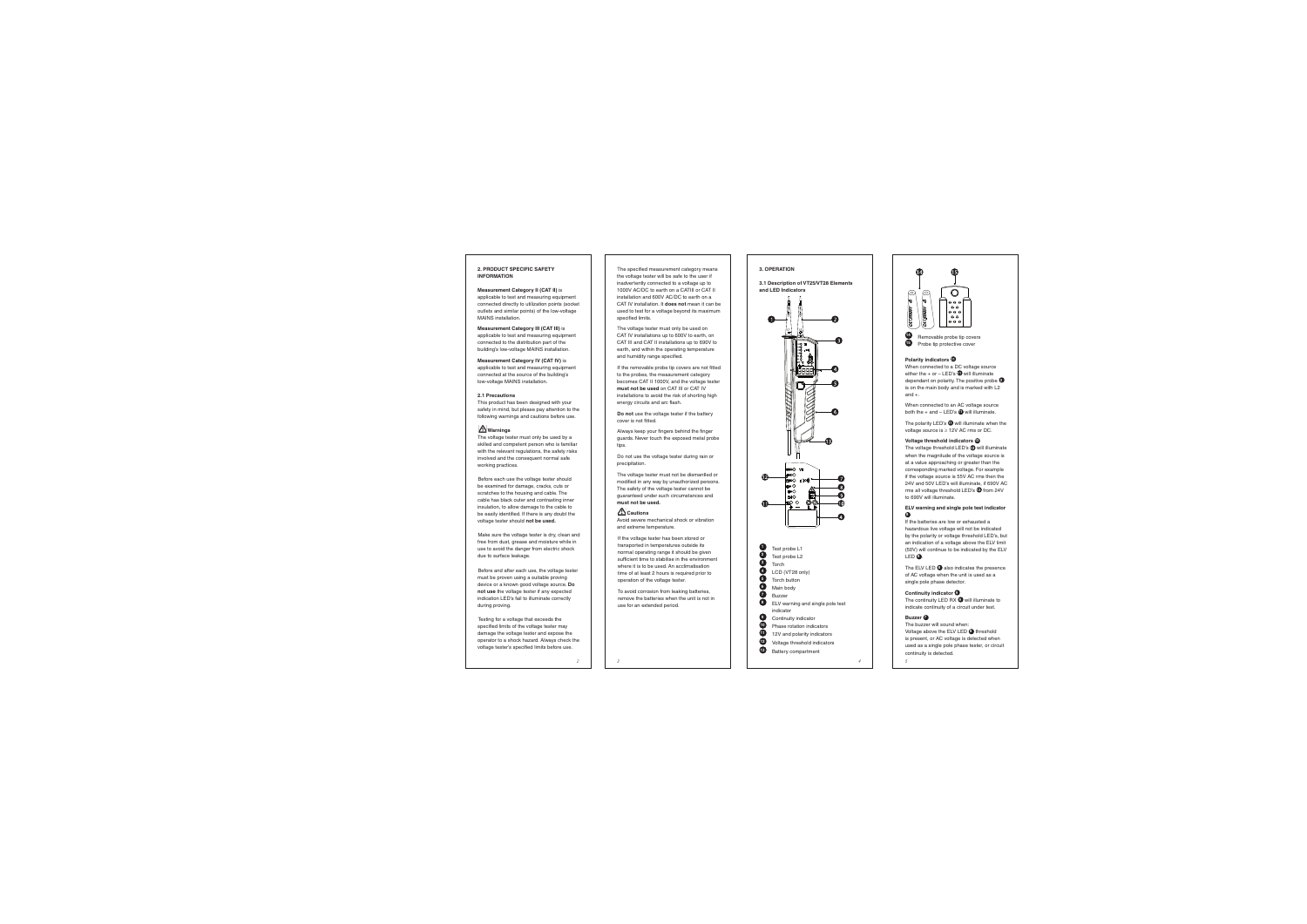### **2. PRODUCT SPECIFIC SAFETY INFORMATION**

**Measurement Category II (CAT II)** is applicable to test and measuring equipment connected directly to utilization points (socket outlets and similar points) of the low-voltage MAINS installation.

### **Measurement Category III (CAT III)** is

applicable to test and measuring equipment connected to the distribution part of the building's low-voltage MAINS installation.

**Measurement Category IV (CAT IV)** is applicable to test and measuring equipment connected at the source of the building's low-voltage MAINS installation.

### **2.1 Precautions**

 This product has been designed with your safety in mind, but please pay attention to the following warnings and cautions before use.

# **Warnings**

The voltage tester must only be used by a skilled and competent person who is familiar with the relevant regulations, the safety risks involved and the consequent normal safe working practices.

Before each use the voltage tester should be examined for damage, cracks, cuts or scratches to the housing and cable. The cable has black outer and contrasting inner insulation, to allow damage to the cable to be easily identified. If there is any doubt the voltage tester should **not be used.**

Make sure the voltage tester is dry, clean and free from dust, grease and moisture while in use to avoid the danger from electric shock due to surface leakage.

Before and after each use, the voltage tester must be proven using a suitable proving device or a known good voltage source. **Do not use** the voltage tester if any expected indication LED's fail to illuminate correctly during proving.

Testing for a voltage that exceeds the specified limits of the voltage tester may damage the voltage tester and expose the operator to a shock hazard. Always check the voltage tester's specified limits before use.

The specified measurement category means the voltage tester will be safe to the user if inadvertently connected to a voltage up to 1000V AC/DC to earth on a CATIII or CAT II installation and 600V AC/DC to earth on a CAT IV installation. It **does not** mean it can be used to test for a voltage beyond its maximum specified limits.

The voltage tester must only be used on CAT IV installations up to 600V to earth, on CAT III and CAT II installations up to 690V to earth, and within the operating temperature and humidity range specified.

If the removable probe tip covers are not fitted to the probes, the measurement category becomes CAT II 1000V, and the voltage tester **must not be used** on CAT III or CAT IV installations to avoid the risk of shorting high energy circuits and arc flash.

**Do not** use the voltage tester if the battery cover is not fitted.

Always keep your fingers behind the finger guards. Never touch the exposed metal probe tips.

Do not use the voltage tester during rain or precipitation.

The voltage tester must not be dismantled or modified in any way by unauthorized persons. The safety of the voltage tester cannot be guaranteed under such circumstances and **must not be used.**

### **Cautions**

 Avoid severe mechanical shock or vibration and extreme temperature.

 If the voltage tester has been stored or transported in temperatures outside its normal operating range it should be given sufficient time to stabilise in the environment where it is to be used. An acclimatisation time of at least 2 hours is required prior to operation of the voltage tester.

 To avoid corrosion from leaking batteries, remove the batteries when the unit is not in use for an extended period.



**3.1 Description of VT25/VT28 Elements and LED Indicators**





**Polarity indicators**  $\mathbf{\Phi}$ 

When connected to a DC voltage source either the + or - LED's  $\bigoplus$  will illuminate dependant on polarity. The positive probe **<sup>2</sup>** is on the main body and is marked with L2 and +.

When connected to an AC voltage source both the + and – LED's **11** will illuminate.

The polarity LED's  $\bigcirc$  will illuminate when the voltage source is  $\geq$  12V AC rms or DC.

### **Voltage threshold indicators 12**

The voltage threshold LED's **12** will illuminate when the magnitude of the voltage source is at a value approaching or greater than the corresponding marked voltage. For example if the voltage source is 55V AC rms then the 24V and 50V LED's will illuminate, if 690V AC rms all voltage threshold LED's **12** from 24V to 690V will illuminate.

#### **ELV warning and single pole test indicator 8**

If the batteries are low or exhausted a hazardous live voltage will not be indicated by the polarity or voltage threshold LED's, but an indication of a voltage above the ELV limit (50V) will continue to be indicated by the ELV LED **8** .

The ELV LED **8** also indicates the presence of AC voltage when the unit is used as a single pole phase detector.

## **Continuity indicator 9**

The continuity LED RX **9** will illuminate to indicate continuity of a circuit under test.

### **Buzzer 7**

The buzzer will sound when: Voltage above the ELV LED **8** threshold is present, or AC voltage is detected when used as a single pole phase tester, or circuit continuity is detected.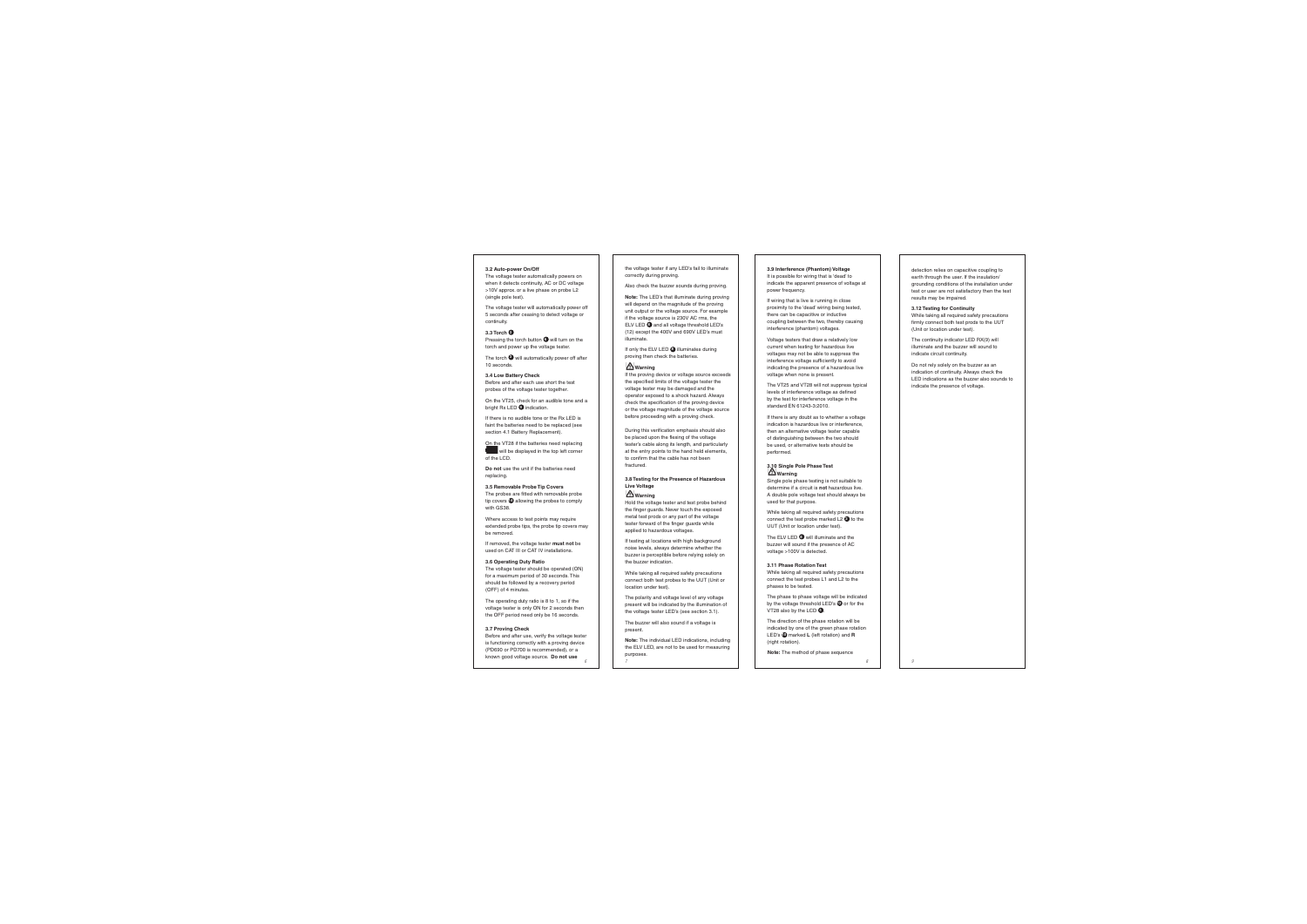### **3.2 Auto-power On/Off**

The voltage tester automatically powers on when it detects continuity, AC or DC voltage >10V approx. or a live phase on probe L2 (single pole test).

The voltage tester will automatically power off 5 seconds after ceasing to detect voltage or continuity.

### **3.3 Torch 3**

Pressing the torch button **6** will turn on the torch and power up the voltage tester.

The torch  $\Theta$  will automatically power off after 10 seconds.

### **3.4 Low Battery Check**

Before and after each use short the test probes of the voltage tester together.

On the VT25, check for an audible tone and a bright Rx LED **9** indication.

If there is no audible tone or the Rx LED is faint the batteries need to be replaced (see section 4.1 Battery Replacement).

On the VT28 if the batteries need replacing will be displayed in the top left corner

of the LCD.

**Do not** use the unit if the batteries need replacing.

### **3.5 Removable Probe Tip Covers**

The probes are fitted with removable probe tip covers **14** allowing the probes to comply with GS38.

Where access to test points may require extended probe tips, the probe tip covers may be removed.

If removed, the voltage tester **must not** be used on CAT III or CAT IV installations.

### **3.6 Operating Duty Ratio**

The voltage tester should be operated (ON) for a maximum period of 30 seconds. This should be followed by a recovery period (OFF) of 4 minutes.

The operating duty ratio is 8 to 1, so if the voltage tester is only ON for 2 seconds then the OFF period need only be 16 seconds.

### **3.7 Proving Check**

Before and after use, verify the voltage tester is functioning correctly with a proving device (PD690 or PD700 is recommended), or a known good voltage source. Do not use

the voltage tester if any LED's fail to illuminate correctly during proving.

Also check the buzzer sounds during proving.

**Note:** The LED's that illuminate during proving will depend on the magnitude of the proving unit output or the voltage source. For example if the voltage source is 230V AC rms, the ELV LED **8** and all voltage threshold LED's (12) except the 400V and 690V LED's must illuminate.

If only the ELV LED **8** illuminates during proving then check the batteries.

### **Warning**

If the proving device or voltage source exceeds the specified limits of the voltage tester the voltage tester may be damaged and the operator exposed to a shock hazard. Always check the specification of the proving device or the voltage magnitude of the voltage source before proceeding with a proving check.

During this verification emphasis should also be placed upon the flexing of the voltage tester's cable along its length, and particularly at the entry points to the hand held elements, to confirm that the cable has not been fractured.

### **3.8 Testing for the Presence of Hazardous Live Voltage**

### **Warning**

Hold the voltage tester and test probe behind the finger guards. Never touch the exposed metal test prods or any part of the voltage tester forward of the finger guards while applied to hazardous voltages.

If testing at locations with high background noise levels, always determine whether the buzzer is perceptible before relying solely on the buzzer indication.

While taking all required safety precautions connect both test probes to the UUT (Unit or location under test).

The polarity and voltage level of any voltage present will be indicated by the illumination of the voltage tester LED's (see section 3.1).

The buzzer will also sound if a voltage is present.

**Note:** The individual LED indications, including the ELV LED, are not to be used for measuring purposes.

### **3.9 Interference (Phantom) Voltage**

It is possible for wiring that is 'dead' to indicate the apparent presence of voltage at power frequency.

If wiring that is live is running in close proximity to the 'dead' wiring being tested, there can be capacitive or inductive coupling between the two, thereby causing interference (phantom) voltages.

Voltage testers that draw a relatively low current when testing for hazardous live voltages may not be able to suppress the interference voltage sufficiently to avoid indicating the presence of a hazardous live voltage when none is present.

The VT25 and VT28 will not suppress typical levels of interference voltage as defined by the test for interference voltage in the standard EN 61243-3:2010.

If there is any doubt as to whether a voltage indication is hazardous live or interference, then an alternative voltage tester capable of distinguishing between the two should be used, or alternative tests should be performed.

### **3.10 Single Pole Phase Test Warning**

Single pole phase testing is not suitable to determine if a circuit is **not** hazardous live. A double pole voltage test should always be used for that purpose.

While taking all required safety precautions connect the test probe marked L2 **2** to the UUT (Unit or location under test).

The ELV LED **8** will illuminate and the buzzer will sound if the presence of AC voltage >100V is detected.

### **3.11 Phase Rotation Test**

While taking all required safety precautions connect the test probes L1 and L2 to the phases to be tested.

The phase to phase voltage will be indicated by the voltage threshold LED's **12** or for the VT28 also by the LCD **<sup>4</sup>** .

The direction of the phase rotation will be indicated by one of the green phase rotation LED's **10** marked **L** (left rotation) and **R** (right rotation).

**Note:** The method of phase sequence

detection relies on capacitive coupling to earth through the user. If the insulation/ grounding conditions of the installation under test or user are not satisfactory then the test results may be impaired.

### **3.12 Testing for Continuity**

While taking all required safety precautions firmly connect both test prods to the UUT (Unit or location under test).

The continuity indicator LED RX(9) will illuminate and the buzzer will sound to indicate circuit continuity.

Do not rely solely on the buzzer as an indication of continuity. Always check the LED indications as the buzzer also sounds to indicate the presence of voltage.